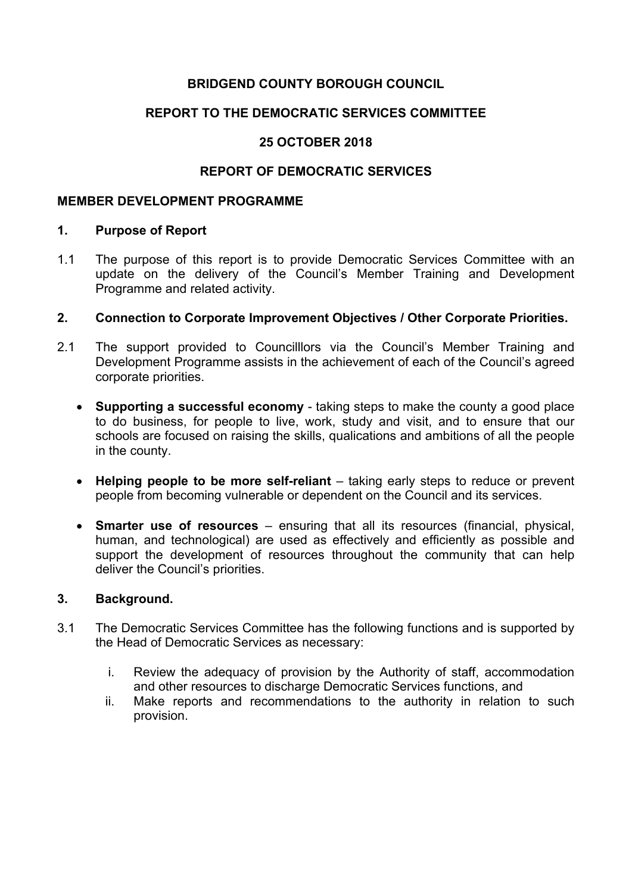## **BRIDGEND COUNTY BOROUGH COUNCIL**

## **REPORT TO THE DEMOCRATIC SERVICES COMMITTEE**

## **25 OCTOBER 2018**

## **REPORT OF DEMOCRATIC SERVICES**

#### **MEMBER DEVELOPMENT PROGRAMME**

#### **1. Purpose of Report**

1.1 The purpose of this report is to provide Democratic Services Committee with an update on the delivery of the Council's Member Training and Development Programme and related activity.

## **2. Connection to Corporate Improvement Objectives / Other Corporate Priorities.**

- 2.1 The support provided to Councilllors via the Council's Member Training and Development Programme assists in the achievement of each of the Council's agreed corporate priorities.
	- **Supporting a successful economy** taking steps to make the county a good place to do business, for people to live, work, study and visit, and to ensure that our schools are focused on raising the skills, qualications and ambitions of all the people in the county.
	- **Helping people to be more self-reliant** taking early steps to reduce or prevent people from becoming vulnerable or dependent on the Council and its services.
	- **Smarter use of resources** ensuring that all its resources (financial, physical, human, and technological) are used as effectively and efficiently as possible and support the development of resources throughout the community that can help deliver the Council's priorities.

## **3. Background.**

- 3.1 The Democratic Services Committee has the following functions and is supported by the Head of Democratic Services as necessary:
	- i. Review the adequacy of provision by the Authority of staff, accommodation and other resources to discharge Democratic Services functions, and
	- ii. Make reports and recommendations to the authority in relation to such provision.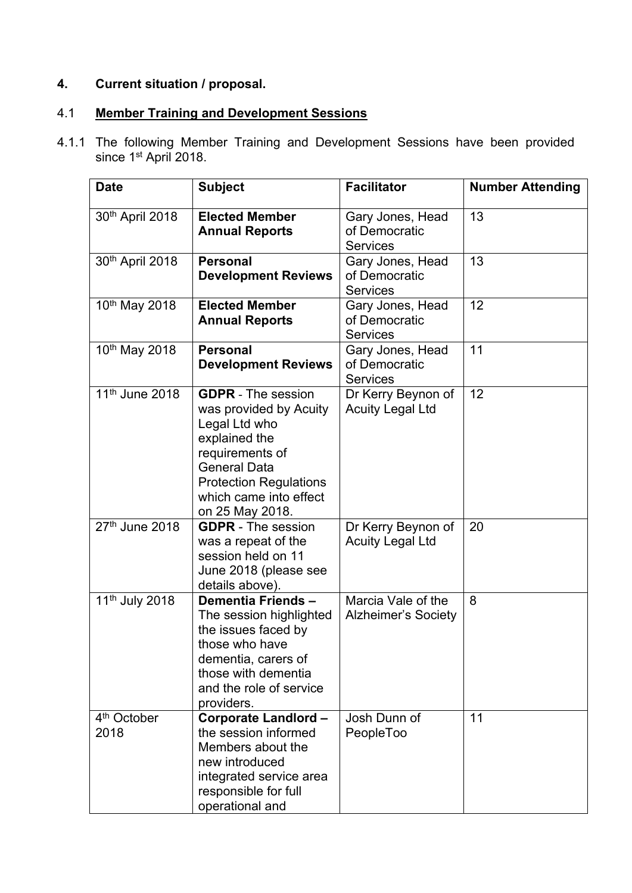# **4. Current situation / proposal.**

#### $4.1$ 4.1 **Member Training and Development Sessions**

4.1.1 The following Member Training and Development Sessions have been provided since 1<sup>st</sup> April 2018.

| <b>Date</b>                     | <b>Subject</b>                                                                                                                                                                                                | <b>Facilitator</b>                                   | <b>Number Attending</b> |
|---------------------------------|---------------------------------------------------------------------------------------------------------------------------------------------------------------------------------------------------------------|------------------------------------------------------|-------------------------|
| 30th April 2018                 | <b>Elected Member</b><br><b>Annual Reports</b>                                                                                                                                                                | Gary Jones, Head<br>of Democratic<br><b>Services</b> | 13                      |
| 30th April 2018                 | <b>Personal</b><br><b>Development Reviews</b>                                                                                                                                                                 | Gary Jones, Head<br>of Democratic<br><b>Services</b> | 13                      |
| 10 <sup>th</sup> May 2018       | <b>Elected Member</b><br><b>Annual Reports</b>                                                                                                                                                                | Gary Jones, Head<br>of Democratic<br><b>Services</b> | 12                      |
| 10th May 2018                   | <b>Personal</b><br><b>Development Reviews</b>                                                                                                                                                                 | Gary Jones, Head<br>of Democratic<br><b>Services</b> | 11                      |
| 11 <sup>th</sup> June 2018      | <b>GDPR</b> - The session<br>was provided by Acuity<br>Legal Ltd who<br>explained the<br>requirements of<br><b>General Data</b><br><b>Protection Regulations</b><br>which came into effect<br>on 25 May 2018. | Dr Kerry Beynon of<br><b>Acuity Legal Ltd</b>        | 12                      |
| 27th June 2018                  | <b>GDPR</b> - The session<br>was a repeat of the<br>session held on 11<br>June 2018 (please see<br>details above).                                                                                            | Dr Kerry Beynon of<br><b>Acuity Legal Ltd</b>        | 20                      |
| 11 <sup>th</sup> July 2018      | Dementia Friends-<br>The session highlighted<br>the issues faced by<br>those who have<br>dementia, carers of<br>those with dementia<br>and the role of service<br>providers.                                  | Marcia Vale of the<br><b>Alzheimer's Society</b>     | 8                       |
| 4 <sup>th</sup> October<br>2018 | <b>Corporate Landlord -</b><br>the session informed<br>Members about the<br>new introduced<br>integrated service area<br>responsible for full<br>operational and                                              | Josh Dunn of<br>PeopleToo                            | 11                      |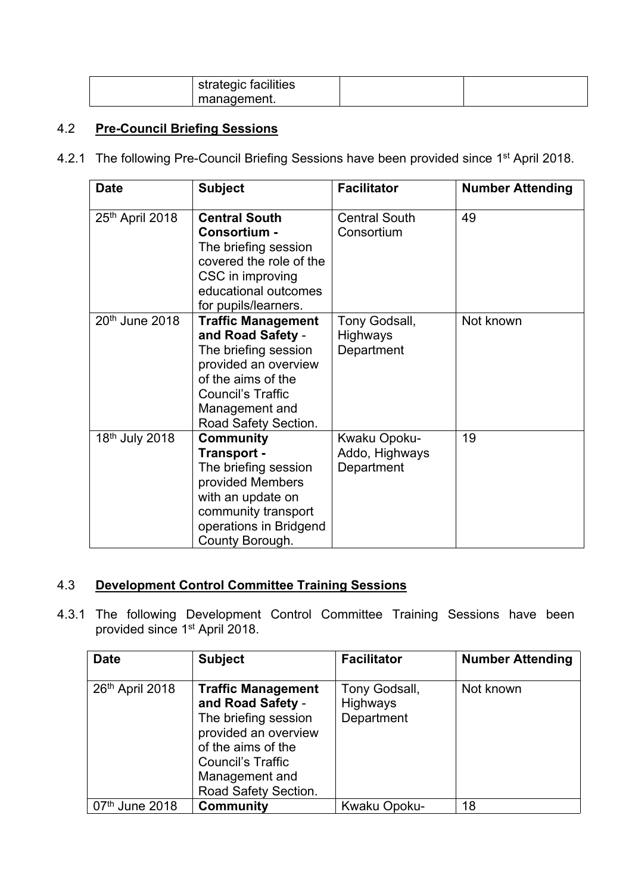| strategic facilities |  |
|----------------------|--|
| management.          |  |

## 4.2 **Pre-Council Briefing Sessions**

4.2.1 The following Pre-Council Briefing Sessions have been provided since 1<sup>st</sup> April 2018.

| <b>Date</b>                | <b>Subject</b>                                                                                                                                                                             | <b>Facilitator</b>                             | <b>Number Attending</b> |
|----------------------------|--------------------------------------------------------------------------------------------------------------------------------------------------------------------------------------------|------------------------------------------------|-------------------------|
| 25th April 2018            | <b>Central South</b><br>Consortium -<br>The briefing session<br>covered the role of the<br>CSC in improving<br>educational outcomes<br>for pupils/learners.                                | <b>Central South</b><br>Consortium             | 49                      |
| 20 <sup>th</sup> June 2018 | <b>Traffic Management</b><br>and Road Safety -<br>The briefing session<br>provided an overview<br>of the aims of the<br><b>Council's Traffic</b><br>Management and<br>Road Safety Section. | Tony Godsall,<br><b>Highways</b><br>Department | Not known               |
| 18 <sup>th</sup> July 2018 | <b>Community</b><br>Transport -<br>The briefing session<br>provided Members<br>with an update on<br>community transport<br>operations in Bridgend<br>County Borough.                       | Kwaku Opoku-<br>Addo, Highways<br>Department   | 19                      |

## 4.3 **Development Control Committee Training Sessions**

4.3.1 The following Development Control Committee Training Sessions have been provided since 1<sup>st</sup> April 2018.

| <b>Date</b>                | <b>Subject</b>                                                                                                                                                                      | <b>Facilitator</b>                      | <b>Number Attending</b> |
|----------------------------|-------------------------------------------------------------------------------------------------------------------------------------------------------------------------------------|-----------------------------------------|-------------------------|
| 26th April 2018            | <b>Traffic Management</b><br>and Road Safety -<br>The briefing session<br>provided an overview<br>of the aims of the<br>Council's Traffic<br>Management and<br>Road Safety Section. | Tony Godsall,<br>Highways<br>Department | Not known               |
| 07 <sup>th</sup> June 2018 | <b>Community</b>                                                                                                                                                                    | Kwaku Opoku-                            | 18                      |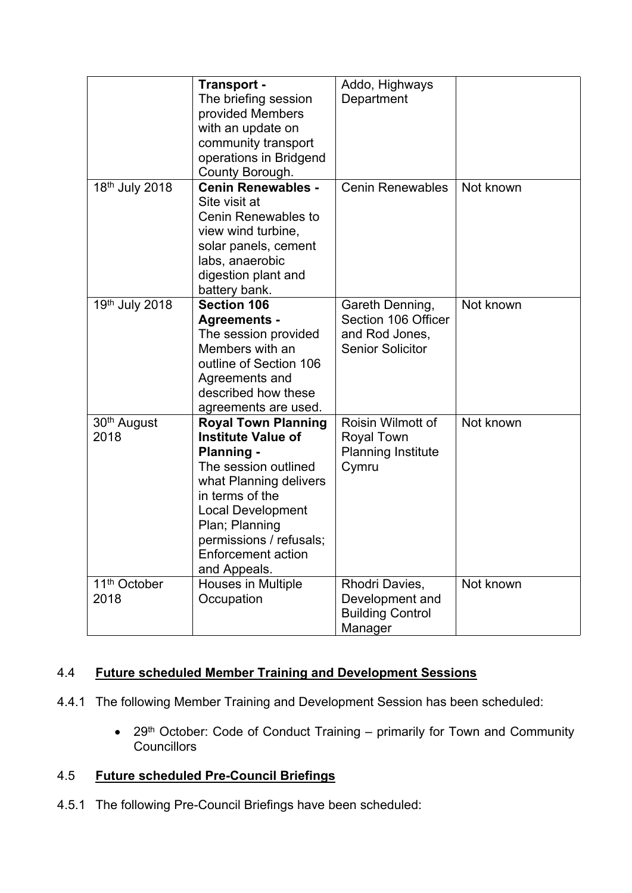|                                  | Transport -<br>The briefing session<br>provided Members<br>with an update on<br>community transport<br>operations in Bridgend<br>County Borough.                                                                                                                 | Addo, Highways<br>Department                                                        |           |
|----------------------------------|------------------------------------------------------------------------------------------------------------------------------------------------------------------------------------------------------------------------------------------------------------------|-------------------------------------------------------------------------------------|-----------|
| 18th July 2018                   | <b>Cenin Renewables -</b><br>Site visit at<br>Cenin Renewables to<br>view wind turbine,<br>solar panels, cement<br>labs, anaerobic<br>digestion plant and<br>battery bank.                                                                                       | <b>Cenin Renewables</b>                                                             | Not known |
| 19th July 2018                   | <b>Section 106</b><br><b>Agreements -</b><br>The session provided<br>Members with an<br>outline of Section 106<br>Agreements and<br>described how these<br>agreements are used.                                                                                  | Gareth Denning,<br>Section 106 Officer<br>and Rod Jones,<br><b>Senior Solicitor</b> | Not known |
| 30 <sup>th</sup> August<br>2018  | <b>Royal Town Planning</b><br><b>Institute Value of</b><br><b>Planning -</b><br>The session outlined<br>what Planning delivers<br>in terms of the<br><b>Local Development</b><br>Plan; Planning<br>permissions / refusals;<br>Enforcement action<br>and Appeals. | Roisin Wilmott of<br><b>Royal Town</b><br><b>Planning Institute</b><br>Cymru        | Not known |
| 11 <sup>th</sup> October<br>2018 | Houses in Multiple<br>Occupation                                                                                                                                                                                                                                 | Rhodri Davies,<br>Development and<br><b>Building Control</b><br>Manager             | Not known |

## 4.4 **Future scheduled Member Training and Development Sessions**

- 4.4.1 The following Member Training and Development Session has been scheduled:
	- 29<sup>th</sup> October: Code of Conduct Training primarily for Town and Community **Councillors**

## 4.5 **Future scheduled Pre-Council Briefings**

4.5.1 The following Pre-Council Briefings have been scheduled: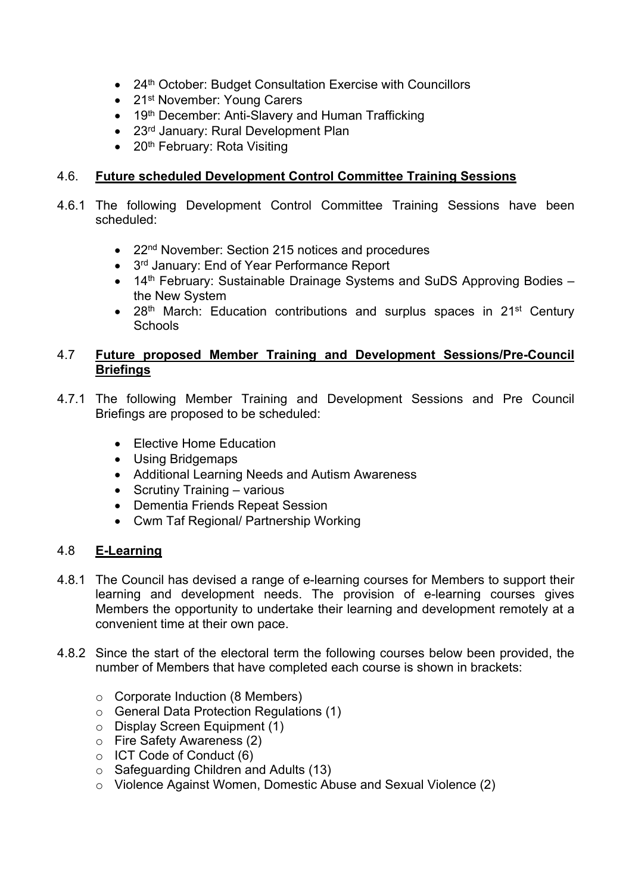- 24<sup>th</sup> October: Budget Consultation Exercise with Councillors
- 21<sup>st</sup> November: Young Carers
- 19<sup>th</sup> December: Anti-Slavery and Human Trafficking
- 23<sup>rd</sup> January: Rural Development Plan
- $\bullet$  20<sup>th</sup> February: Rota Visiting

## 4.6. **Future scheduled Development Control Committee Training Sessions**

- 4.6.1 The following Development Control Committee Training Sessions have been scheduled:
	- 22<sup>nd</sup> November: Section 215 notices and procedures
	- 3<sup>rd</sup> January: End of Year Performance Report
	- 14<sup>th</sup> February: Sustainable Drainage Systems and SuDS Approving Bodies the New System
	- 28<sup>th</sup> March: Education contributions and surplus spaces in 21<sup>st</sup> Century **Schools**

## 4.7 **Future proposed Member Training and Development Sessions/Pre-Council Briefings**

- 4.7.1 The following Member Training and Development Sessions and Pre Council Briefings are proposed to be scheduled:
	- Elective Home Education
	- Using Bridgemaps
	- Additional Learning Needs and Autism Awareness
	- Scrutiny Training various
	- Dementia Friends Repeat Session
	- Cwm Taf Regional/ Partnership Working

## 4.8 **E-Learning**

- 4.8.1 The Council has devised a range of e-learning courses for Members to support their learning and development needs. The provision of e-learning courses gives Members the opportunity to undertake their learning and development remotely at a convenient time at their own pace.
- 4.8.2 Since the start of the electoral term the following courses below been provided, the number of Members that have completed each course is shown in brackets:
	- o Corporate Induction (8 Members)
	- o General Data Protection Regulations (1)
	- o Display Screen Equipment (1)
	- o Fire Safety Awareness (2)
	- o ICT Code of Conduct (6)
	- o Safeguarding Children and Adults (13)
	- o Violence Against Women, Domestic Abuse and Sexual Violence (2)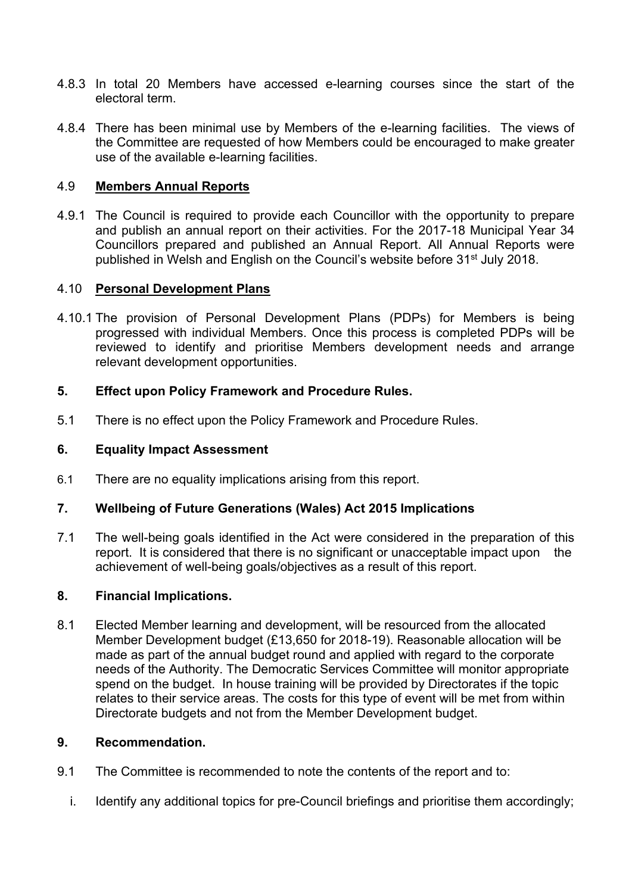- 4.8.3 In total 20 Members have accessed e-learning courses since the start of the electoral term.
- 4.8.4 There has been minimal use by Members of the e-learning facilities. The views of the Committee are requested of how Members could be encouraged to make greater use of the available e-learning facilities.

## 4.9 **Members Annual Reports**

4.9.1 The Council is required to provide each Councillor with the opportunity to prepare and publish an annual report on their activities. For the 2017-18 Municipal Year 34 Councillors prepared and published an Annual Report. All Annual Reports were published in Welsh and English on the Council's website before 31<sup>st</sup> July 2018.

## 4.10 **Personal Development Plans**

4.10.1 The provision of Personal Development Plans (PDPs) for Members is being progressed with individual Members. Once this process is completed PDPs will be reviewed to identify and prioritise Members development needs and arrange relevant development opportunities.

## **5. Effect upon Policy Framework and Procedure Rules.**

5.1 There is no effect upon the Policy Framework and Procedure Rules.

## **6. Equality Impact Assessment**

6.1 There are no equality implications arising from this report.

## **7. Wellbeing of Future Generations (Wales) Act 2015 Implications**

7.1 The well-being goals identified in the Act were considered in the preparation of this report. It is considered that there is no significant or unacceptable impact upon the achievement of well-being goals/objectives as a result of this report.

#### **8. Financial Implications.**

8.1 Elected Member learning and development, will be resourced from the allocated Member Development budget (£13,650 for 2018-19). Reasonable allocation will be made as part of the annual budget round and applied with regard to the corporate needs of the Authority. The Democratic Services Committee will monitor appropriate spend on the budget. In house training will be provided by Directorates if the topic relates to their service areas. The costs for this type of event will be met from within Directorate budgets and not from the Member Development budget.

#### **9. Recommendation.**

- 9.1 The Committee is recommended to note the contents of the report and to:
	- i. Identify any additional topics for pre-Council briefings and prioritise them accordingly;